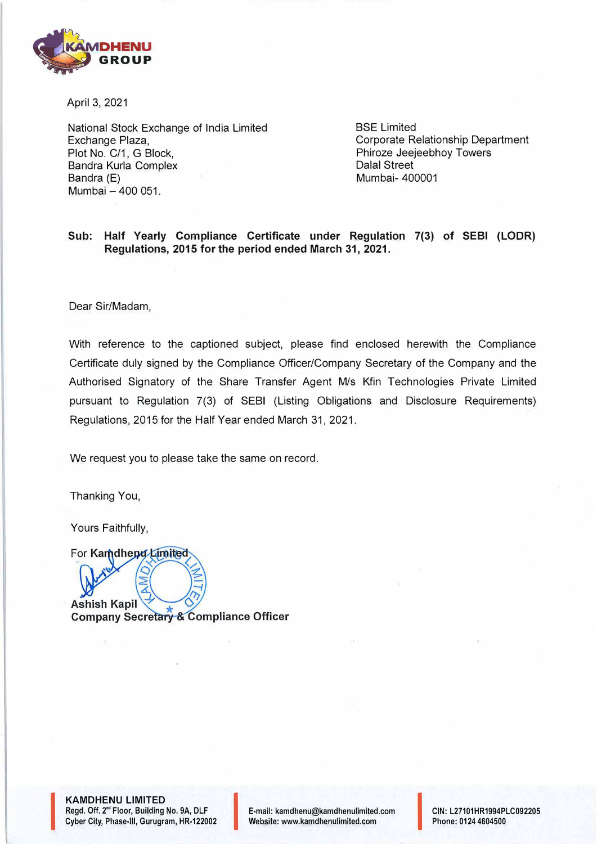

April 3, 2021

National Stock Exchange of India Limited Exchange Plaza, Plot No. C/1, G Block, Sandra Kurla Complex Bandra (E) Mumbai - 400 051.

BSE Limited Corporate Relationship Department Phiroze Jeejeebhoy Towers Dalal Street Mumbai- 400001

## **Sub: Half Yearly Compliance Certificate under Regulation 7(3) of SEBI (LODR) Regulations, 2015 for the period ended March 31, 2021.**

Dear Sir/Madam,

With reference to the captioned subject, please find enclosed herewith the Compliance Certificate duly signed by the Compliance Officer/Company Secretary of the Company and the Authorised Signatory of the Share Transfer Agent M/s Kfin Technologies Private Limited pursuant to Regulation 7(3) of SEBI (Listing Obligations and Disclosure Requirements) Regulations, 2015 for the Half Year ended March 31, 2021.

We request you to please take the same on record.

Thanking You,

Yours Faithfully,

For Kamdhepu Limited

**Ashish Kapil Company Secretary & Compliance Officer** 

**KAMDHENU LIMITED**  Regd. Off. 2<sup>nd</sup> Floor, Building No. 9A, DLF<br>Cyber City, Phase-III, Gurugram, HR-122002 Cyber City, Phase-Ill, Gurugram, HR-122002 I E-mail: kamdhenu@kamdhenulimited.com

I

E-mail: kamdhenu@kamdhenulimited.com<br>Website: www.kamdhenulimited.com<br>Phone: 0124 4604500

Phone: 0124 4604500